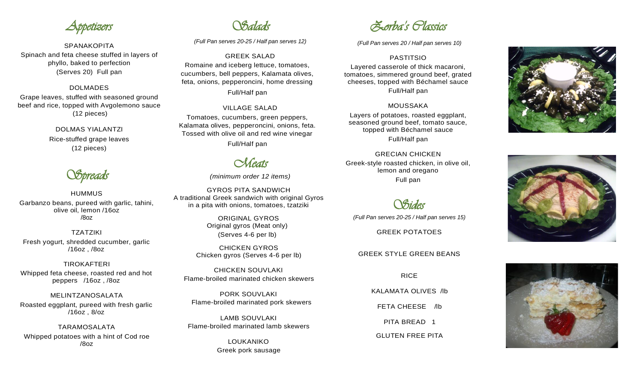*Appetizers* 

**SPANAKOPITA** Spinach and feta cheese stuffed in layers of phyllo, baked to perfection (Serves 20) Full pan

DOLMADES Grape leaves, stuffed with seasoned ground beef and rice, topped with Avgolemono sauce (12 pieces)

> DOLMAS YIALANTZI Rice-stuffed grape leaves (12 pieces)

*Spreads* 

**HUMMUS** Garbanzo beans, pureed with garlic, tahini, olive oil, lemon /16oz /8oz

TZATZIKI Fresh yogurt, shredded cucumber, garlic /16oz , /8oz

TIROKAFTERI Whipped feta cheese, roasted red and hot peppers /16oz , /8oz

MELINTZANOSALATA Roasted eggplant, pureed with fresh garlic /16oz , 8/oz

TARAMOSALATA Whipped potatoes with a hint of Cod roe /8oz

*Salads* 

*(Full Pan serves 20-25 / Half pan serves 12)*

GREEK SALAD Romaine and iceberg lettuce, tomatoes, cucumbers, bell peppers, Kalamata olives, feta, onions, pepperoncini, home dressing Full/Half pan

VILLAGE SALAD Tomatoes, cucumbers, green peppers, Kalamata olives, pepperoncini, onions, feta. Tossed with olive oil and red wine vinegar Full/Half pan

*Meats* 

*(minimum order <sup>12</sup> items)* 

GYROS PITA SANDWICH A traditional Greek sandwich with original Gyros in a pita with onions, tomatoes, tzatziki

> ORIGINAL GYROS Original gyros (Meat only) (Serves 4-6 per lb)

CHICKEN GYROS Chicken gyros (Serves 4-6 per lb)

CHICKEN SOUVLAKI Flame-broiled marinated chicken skewers

PORK SOUVLAKI Flame-broiled marinated pork skewers

LAMB SOUVLAKI Flame-broiled marinated lamb skewers

> LOUKANIKO Greek pork sausage

*Zorba's Classics* 

*(Full Pan serves 20 / Half pan serves 10)*

PASTITSIO

Layered casserole of thick macaroni, tomatoes, simmered ground beef, grated cheeses, topped with Béchamel sauce Full/Half pan

### MOUSSAKA

Layers of potatoes, roasted eggplant, seasoned ground beef, tomato sauce, topped with Béchamel sauce Full/Half pan

## GRECIAN CHICKEN

Greek-style roasted chicken, in olive oil, lemon and oregano Full pan

*Sides (Full Pan serves 20-25 / Half pan serves 15)*

GREEK POTATOES

#### GREEK STYLE GREEN BEANS

RICE KALAMATA OLIVES /lb FETA CHEESE /lb PITA BREAD 1

GLUTEN FREE PITA